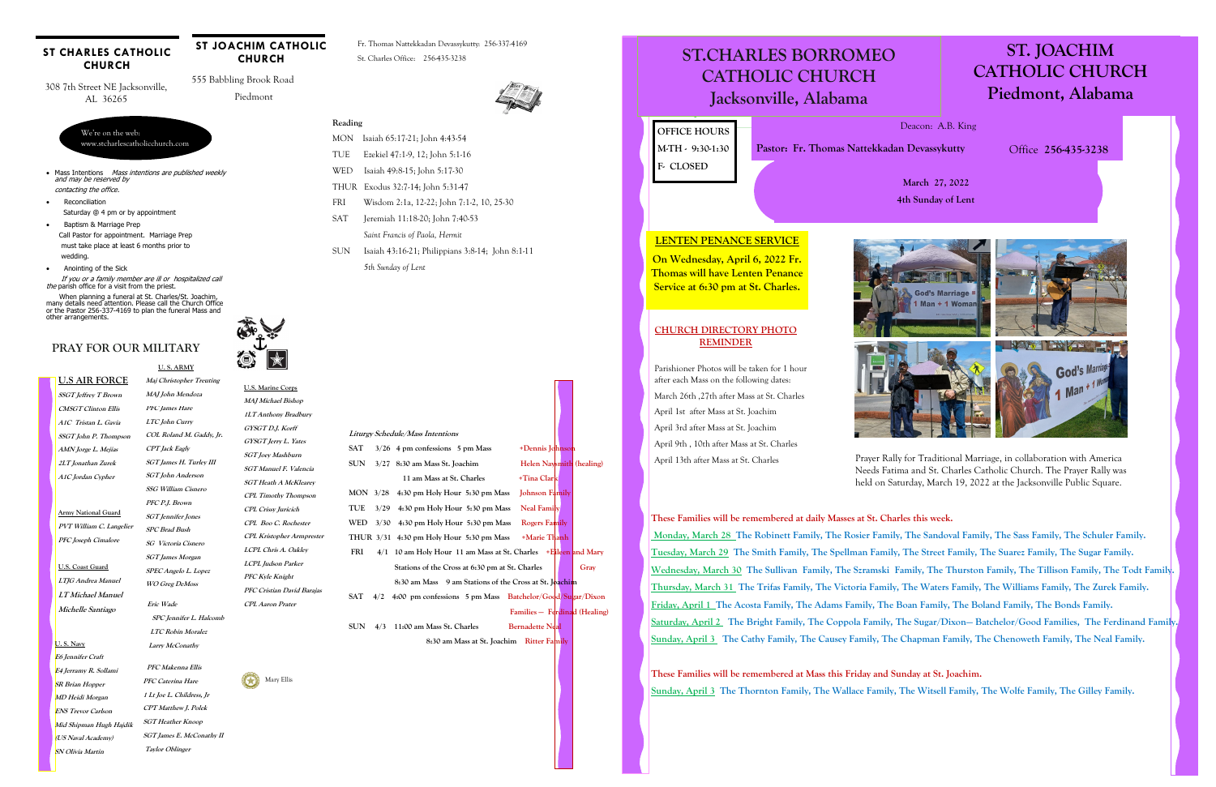**SSGT Jeffrey T Brown CMSGT Clinton Ellis A1C Tristan L. Gavia SSGT John P. Thompson AMN Jorge L. Mejias 2LT Jonathan Zurek A1C Jordan Cypher** 

### **PRAY FOR OUR MILITARY**

#### **U.S AIR FORCE Maj Christopher Treuting**

#### **ST CHARLES CATHOLIC CHURCH**

**Army National Guard PVT William C. Langelier PFC Joseph Cimalore** 

**U.S. Coast Guard LTJG Andrea Manuel LT Michael Manuel Michelle Santiago** 

 **U. S. ARMY**

## **MAJ John Mendoza PFC James Hare**

- Mass Intentions Mass intentions are published weekly and may be reserved by
- contacting the office.
- Reconciliation Saturday @ 4 pm or by appointment
- Baptism & Marriage Prep Call Pastor for appointment. Marriage Prep must take place at least 6 months prior to wedding.
- Anointing of the Sick

 If you or a family member are ill or hospitalized call the parish office for a visit from the priest.

We're on the web: www.stcharlescatholicchurch.com

308 7th Street NE Jacksonville, AL 36265

 555 Babbling Brook Road Piedmont

### **ST JOACHIM CATHOLIC CHURCH**

Fr. Thomas Nattekkadan Devassykutty: 256-337-4169 St. Charles Office: 256-435-3238



H.

**LTC John Curry COL Roland M. Gaddy, Jr. CPT Jack Eagly SGT James H. Turley III SGT John Anderson SSG William Cisnero PFC P.J. Brown SGT Jennifer Jones SPC Brad Bush SG Victoria Cisnero SGT James Morgan SPEC Angelo L. Lopez WO Greg DeMoss Eric Wade SPC Jennifer L. Halcomb** 

 When planning a funeral at St. Charles/St. Joachim, many details need attention. Please call the Church Office or the Pastor 256-337-4169 to plan the funeral Mass and other arrangements.

#### **Reading**

- MON Isaiah 65:17-21; John 4:43-54 TUE Ezekiel 47:1-9, 12; John 5:1-16
- WED Isaiah 49:8-15; John 5:17-30
- THUR Exodus 32:7-14; John 5:31-47
- FRI Wisdom 2:1a, 12-22; John 7:1-2, 10, 25-30
- SAT Jeremiah 11:18-20; John 7:40-53
	- *Saint Francis of Paola, Hermit*
- SUN Isaiah 43:16-21; Philippians 3:8-14; John 8:1-11 *5th Sunday of Lent*

 **LTC Robin Moralez Larry McConathy** 

 **PFC Makenna Ellis** 

**PFC Caterina Hare 1 Lt Joe L. Childress, Jr CPT Matthew J. Polek SGT Heather Knoop SGT James E. McConathy II Taylor Oblinger** 

**U. S. Navy** 

**E6 Jennifer Craft E4 Jerramy R. Sollami SR Brian Hopper MD Heidi Morgan ENS Trevor Carlson Mid Shipman Hugh Hajdik (US Naval Academy) SN Olivia Martin** 

**U.S. Marine Corps MAJ Michael Bishop** 

**1LT Anthony Bradbury GYSGT D.J. Korff** 

**GYSGT Jerry L. Yates SGT Joey Mashburn SGT Manuel F. Valencia SGT Heath A McKlearey CPL Timothy Thompson CPL Crissy Juricich CPL Boo C. Rochester CPL Kristopher Armprester LCPL Chris A. Oakley** 

**LCPL Judson Parker PFC Kyle Knight** 

**PFC Cristian David Barajas** 

Mary Ellis

**CPL Aaron Prater** 

| <i>Liturgy Schedule/Mass Intentions</i> |      |                                                              |                               |  |      |
|-----------------------------------------|------|--------------------------------------------------------------|-------------------------------|--|------|
| SAT                                     |      | $3/26$ 4 pm confessions 5 pm Mass                            | +Dennis Johnson               |  |      |
| SUN                                     | 3/27 | 8:30 am Mass St. Joachim                                     | Helen Naysmith (healing)      |  |      |
|                                         |      | 11 am Mass at St. Charles                                    | +Tina Clark                   |  |      |
| MON                                     | 3/28 | 4:30 pm Holy Hour 5:30 pm Mass                               | <b>Johnson Family</b>         |  |      |
| TUE                                     | 3/29 | 4:30 pm Holy Hour 5:30 pm Mass                               | <b>Neal Family</b>            |  |      |
| WED                                     | 3/30 | 4:30 pm Holy Hour 5:30 pm Mass                               | <b>Rogers Family</b>          |  |      |
|                                         |      | THUR 3/31 4:30 pm Holy Hour 5:30 pm Mass                     | <b>+Marie Thanh</b>           |  |      |
| FRI                                     | 4/1  | 10 am Holy Hour 11 am Mass at St. Charles + Elileen and Mary |                               |  |      |
|                                         |      | Stations of the Cross at 6:30 pm at St. Charles              |                               |  | Gray |
|                                         |      | 8:30 am Mass 9 am Stations of the Cross at St. Joachim       |                               |  |      |
| SAT                                     | 4/2  | 4:00 pm confessions 5 pm Mass Batchelor/Good/Sugar/Dixon     |                               |  |      |
|                                         |      |                                                              | Families - Ferdinad (Healing) |  |      |
| SUN                                     | 4/3  | 11:00 am Mass St. Charles                                    | <b>Bernadette Neal</b>        |  |      |
|                                         |      | 8:30 am Mass at St. Joachim Ritter Family                    |                               |  |      |
|                                         |      |                                                              |                               |  |      |

# ST.CHARLES BORROMEO **ST.CHARLES BORROMEO ST.CHARLES BORROMEO**  CATHOLIC CHURCH **CATHOLIC CHURCH CATHOLIC CHURCH**

# **ST. JOACHIM CATHOLIC CHURCH Piedmont, Alabama**

Jacksonville, Alabama **Jacksonville, Alabama Jacksonville, Alabama**

**March 27, 2022 4th Sunday of Lent** 



April 13th after Mass at St. Charles Prayer Rally for Traditional Marriage, in collaboration with America Needs Fatima and St. Charles Catholic Church. The Prayer Rally was held on Saturday, March 19, 2022 at the Jacksonville Public Square.

Deacon: A.B. King

Office **256-435-3238** 

**OFFICE HOURS M-TH - 9:30-1:30 F- CLOSED** 

**Pastor: Fr. Thomas Nattekkadan Devassykutty** 

**These Families will be remembered at daily Masses at St. Charles this week. Monday, March 28 The Robinett Family, The Rosier Family, The Sandoval Family, The Sass Family, The Schuler Family. Tuesday, March 29 The Smith Family, The Spellman Family, The Street Family, The Suarez Family, The Sugar Family.**  Wednesday, March 30 The Sullivan Family, The Szramski Family, The Thurston Family, The Tillison Family, The Todt Family. **Thursday, March 31 The Trifas Family, The Victoria Family, The Waters Family, The Williams Family, The Zurek Family. Friday, April 1 The Acosta Family, The Adams Family, The Boan Family, The Boland Family, The Bonds Family. Saturday, April 2 The Bright Family, The Coppola Family, The Sugar/Dixon— Batchelor/Good Families, The Ferdinand Family. Sunday, April 3 The Cathy Family, The Causey Family, The Chapman Family, The Chenoweth Family, The Neal Family.** 

**These Families will be remembered at Mass this Friday and Sunday at St. Joachim. Sunday, April 3 The Thornton Family, The Wallace Family, The Witsell Family, The Wolfe Family, The Gilley Family.** 

### **LENTEN PENANCE SERVICE**

**On Wednesday, April 6, 2022 Fr. Thomas will have Lenten Penance Service at 6:30 pm at St. Charles.** 

**CHURCH DIRECTORY PHOTO REMINDER** 

Parishioner Photos will be taken for 1 hour after each Mass on the following dates: March 26th ,27th after Mass at St. Charles

April 1st after Mass at St. Joachim April 3rd after Mass at St. Joachim April 9th , 10th after Mass at St. Charles